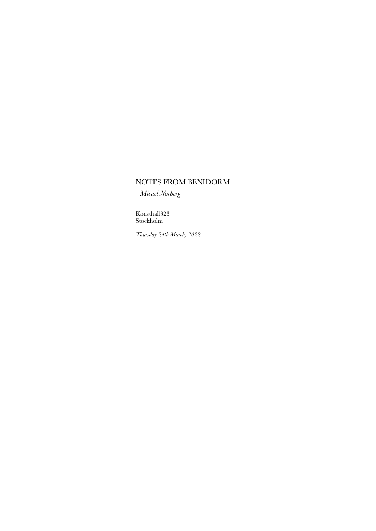# NOTES FROM BENIDORM

*- Micael Norberg*

Konsthall323 Stockholm

*Thursday 24th March, 2022*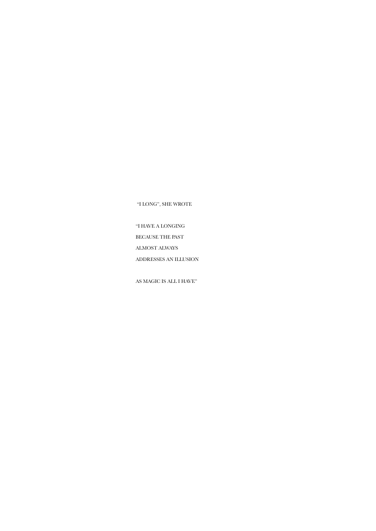"I LONG", SHE WROTE

"I HAVE A LONGING BECAUSE THE PAST ALMOST ALWAYS ADDRESSES AN ILLUSION

AS MAGIC IS ALL I HAVE"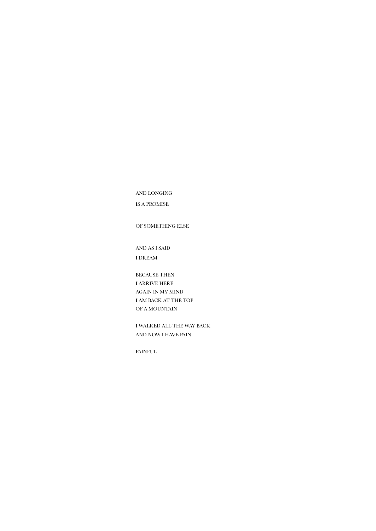AND LONGING

IS A PROMISE

OF SOMETHING ELSE

AND AS I SAID I DREAM

BECAUSE THEN I ARRIVE HERE AGAIN IN MY MIND I AM BACK AT THE TOP OF A MOUNTAIN

I WALKED ALL THE WAY BACK AND NOW I HAVE PAIN

PAINFUL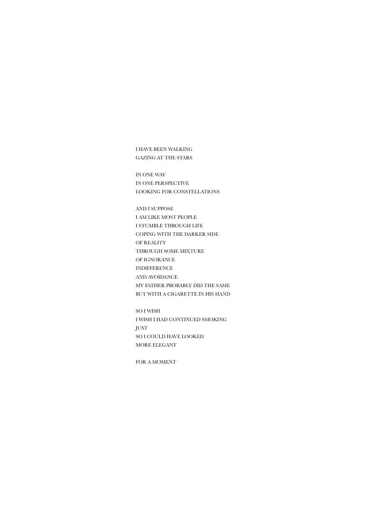I HAVE BEEN WALKING GAZING AT THE STARS

IN ONE WAY IN ONE PERSPECTIVE LOOKING FOR CONSTELLATIONS

AND I SUPPOSE I AM LIKE MOST PEOPLE I STUMBLE THROUGH LIFE COPING WITH THE DARKER SIDE OF REALITY THROUGH SOME MIXTURE OF IGNORANCE INDIFFERENCE AND AVOIDANCE MY FATHER PROBABLY DID THE SAME BUT WITH A CIGARETTE IN HIS HAND

SO I WISH I WISH I HAD CONTINUED SMOKING JUST SO I COULD HAVE LOOKED MORE ELEGANT

FOR A MOMENT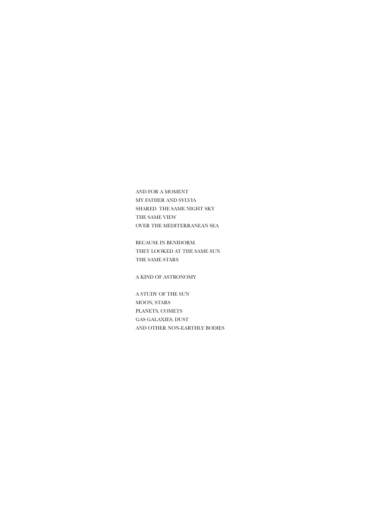AND FOR A MOMENT MY FATHER AND SYLVIA SHARED THE SAME NIGHT SKY THE SAME VIEW OVER THE MEDITERRANEAN SEA

BECAUSE IN BENIDORM. THEY LOOKED AT THE SAME SUN THE SAME STARS

A KIND OF ASTRONOMY

A STUDY OF THE SUN MOON, STARS PLANETS, COMETS GAS GALAXIES, DUST AND OTHER NON-EARTHLY BODIES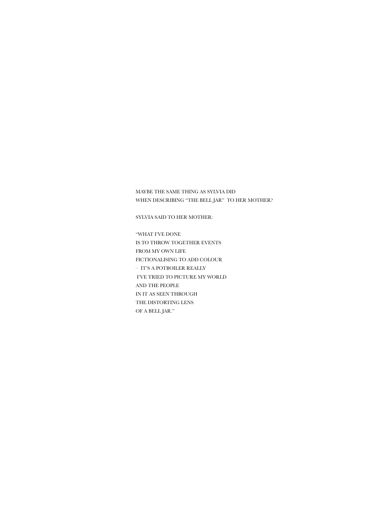WHEN DESCRIBING "THE BELL JAR" TO HER MOTHER?

SYLVIA SAID TO HER MOTHER:

MAYBE THE SAME THING AS SYLVIA DID

"WHAT I'VE DONE IS TO THROW TOGETHER EVENTS FROM MY OWN LIFE FICTIONALISING TO ADD COLOUR – IT'S A POTBOILER REALLY I'VE TRIED TO PICTURE MY WORLD AND THE PEOPLE IN IT AS SEEN THROUGH THE DISTORTING LENS OF A BELL JAR."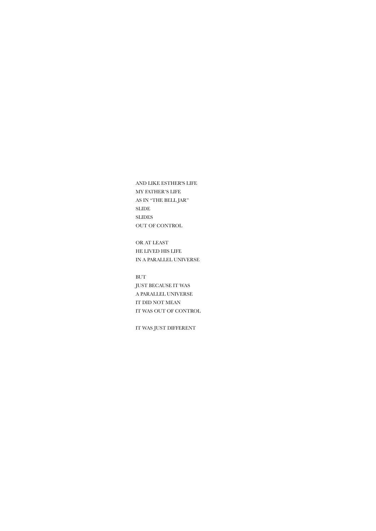AND LIKE ESTHER'S LIFE MY FATHER'S LIFE AS IN "THE BELL JAR" SLIDE SLIDES OUT OF CONTROL

OR AT LEAST HE LIVED HIS LIFE IN A PARALLEL UNIVERSE

BUT JUST BECAUSE IT WAS A PARALLEL UNIVERSE IT DID NOT MEAN IT WAS OUT OF CONTROL

IT WAS JUST DIFFERENT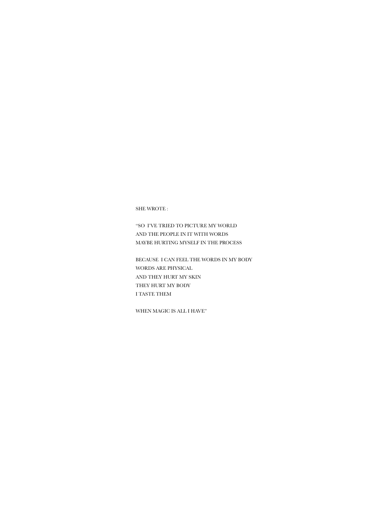SHE WROTE :

"SO I'VE TRIED TO PICTURE MY WORLD AND THE PEOPLE IN IT WITH WORDS MAYBE HURTING MYSELF IN THE PROCESS

BECAUSE I CAN FEEL THE WORDS IN MY BODY WORDS ARE PHYSICAL AND THEY HURT MY SKIN THEY HURT MY BODY I TASTE THEM

WHEN MAGIC IS ALL I HAVE"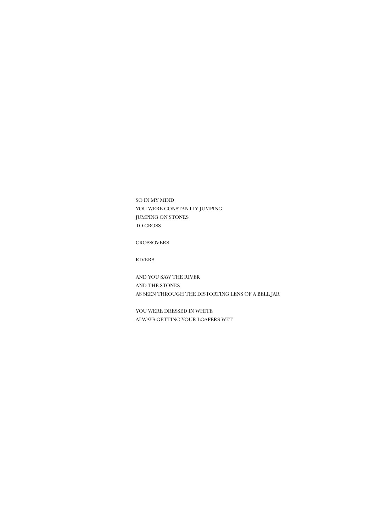SO IN MY MIND YOU WERE CONSTANTLY JUMPING JUMPING ON STONES TO CROSS

CROSSOVERS

RIVERS

AND YOU SAW THE RIVER AND THE STONES AS SEEN THROUGH THE DISTORTING LENS OF A BELL JAR

YOU WERE DRESSED IN WHITE ALWAYS GETTING YOUR LOAFERS WET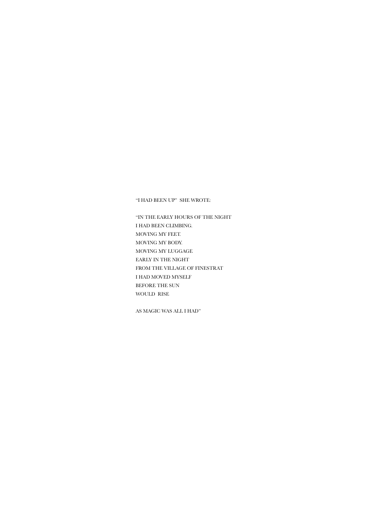"I HAD BEEN UP" SHE WROTE:

"IN THE EARLY HOURS OF THE NIGHT I HAD BEEN CLIMBING. MOVING MY FEET. MOVING MY BODY. MOVING MY LUGGAGE EARLY IN THE NIGHT FROM THE VILLAGE OF FINESTRAT I HAD MOVED MYSELF BEFORE THE SUN WOULD RISE

AS MAGIC WAS ALL I HAD"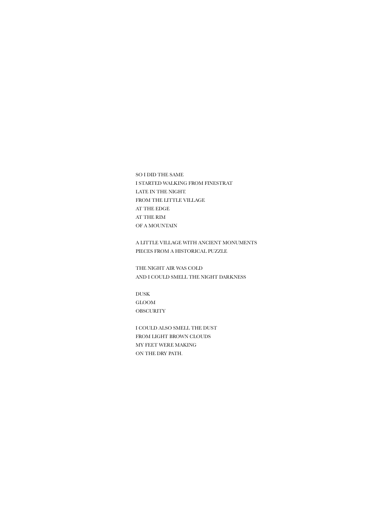SO I DID THE SAME I STARTED WALKING FROM FINESTRAT LATE IN THE NIGHT. FROM THE LITTLE VILLAGE AT THE EDGE AT THE RIM OF A MOUNTAIN

A LITTLE VILLAGE WITH ANCIENT MONUMENTS PIECES FROM A HISTORICAL PUZZLE

THE NIGHT AIR WAS COLD AND I COULD SMELL THE NIGHT DARKNESS

DUSK GLOOM **OBSCURITY** 

I COULD ALSO SMELL THE DUST FROM LIGHT BROWN CLOUDS MY FEET WERE MAKING ON THE DRY PATH.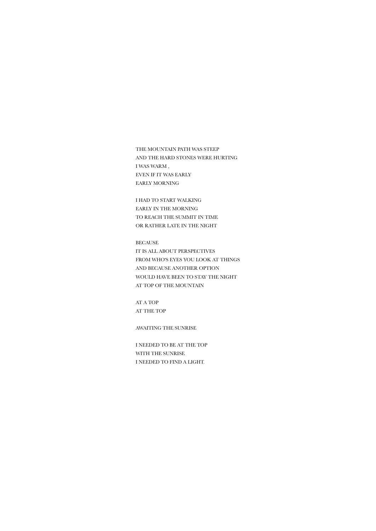THE MOUNTAIN PATH WAS STEEP AND THE HARD STONES WERE HURTING I WAS WARM , EVEN IF IT WAS EARLY EARLY MORNING

I HAD TO START WALKING EARLY IN THE MORNING TO REACH THE SUMMIT IN TIME OR RATHER LATE IN THE NIGHT

BECAUSE IT IS ALL ABOUT PERSPECTIVES FROM WHO'S EYES YOU LOOK AT THINGS AND BECAUSE ANOTHER OPTION WOULD HAVE BEEN TO STAY THE NIGHT AT TOP OF THE MOUNTAIN

AT A TOP AT THE TOP

AWAITING THE SUNRISE

I NEEDED TO BE AT THE TOP WITH THE SUNRISE I NEEDED TO FIND A LIGHT.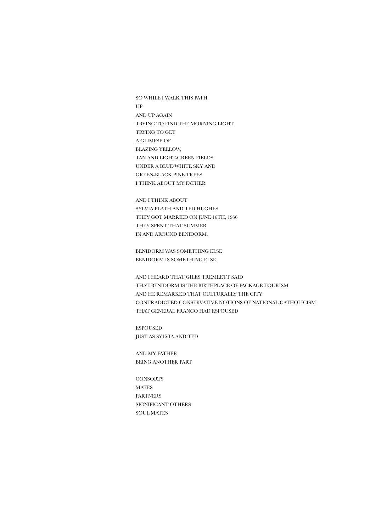SO WHILE I WALK THIS PATH UP AND UP AGAIN TRYING TO FIND THE MORNING LIGHT TRYING TO GET A GLIMPSE OF BLAZING YELLOW, TAN AND LIGHT-GREEN FIELDS UNDER A BLUE-WHITE SKY AND GREEN-BLACK PINE TREES I THINK ABOUT MY FATHER

AND I THINK ABOUT SYLVIA PLATH AND TED HUGHES THEY GOT MARRIED ON JUNE 16TH, 1956 THEY SPENT THAT SUMMER IN AND AROUND BENIDORM.

BENIDORM WAS SOMETHING ELSE BENIDORM IS SOMETHING ELSE

AND I HEARD THAT GILES TREMLETT SAID THAT BENIDORM IS THE BIRTHPLACE OF PACKAGE TOURISM AND HE REMARKED THAT CULTURALLY THE CITY CONTRADICTED CONSERVATIVE NOTIONS OF NATIONAL CATHOLICISM THAT GENERAL FRANCO HAD ESPOUSED

ESPOUSED JUST AS SYLVIA AND TED

AND MY FATHER BEING ANOTHER PART

**CONSORTS** MATES PARTNERS SIGNIFICANT OTHERS SOUL MATES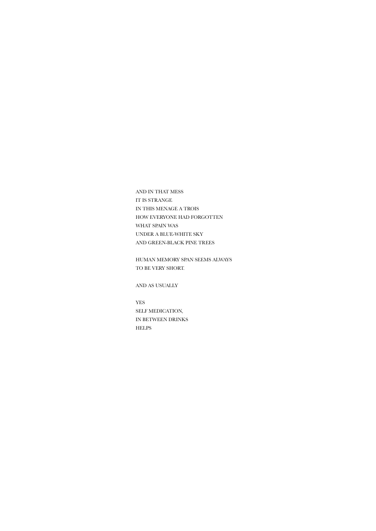AND IN THAT MESS IT IS STRANGE IN THIS MENAGE A TROIS HOW EVERYONE HAD FORGOTTEN WHAT SPAIN WAS UNDER A BLUE-WHITE SKY AND GREEN-BLACK PINE TREES

HUMAN MEMORY SPAN SEEMS ALWAYS TO BE VERY SHORT.

AND AS USUALLY

YES SELF MEDICATION, IN BETWEEN DRINKS HELPS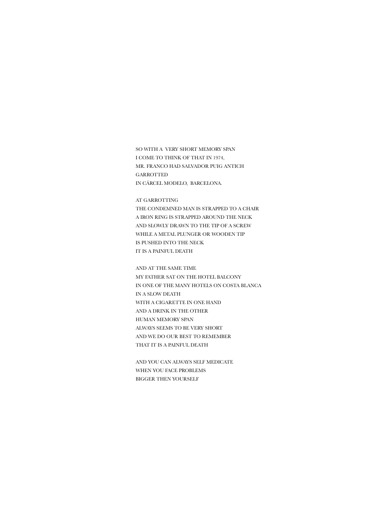SO WITH A VERY SHORT MEMORY SPAN I COME TO THINK OF THAT IN 1974, MR. FRANCO HAD SALVADOR PUIG ANTICH GARROTTED IN CÁRCEL MODELO, BARCELONA.

AT GARROTTING THE CONDEMNED MAN IS STRAPPED TO A CHAIR A IRON RING IS STRAPPED AROUND THE NECK AND SLOWLY DRAWN TO THE TIP OF A SCREW WHILE A METAL PLUNGER OR WOODEN TIP IS PUSHED INTO THE NECK IT IS A PAINFUL DEATH

AND AT THE SAME TIME MY FATHER SAT ON THE HOTEL BALCONY IN ONE OF THE MANY HOTELS ON COSTA BLANCA IN A SLOW DEATH WITH A CIGARETTE IN ONE HAND AND A DRINK IN THE OTHER HUMAN MEMORY SPAN ALWAYS SEEMS TO BE VERY SHORT AND WE DO OUR BEST TO REMEMBER THAT IT IS A PAINFUL DEATH

AND YOU CAN ALWAYS SELF MEDICATE WHEN YOU FACE PROBLEMS BIGGER THEN YOURSELF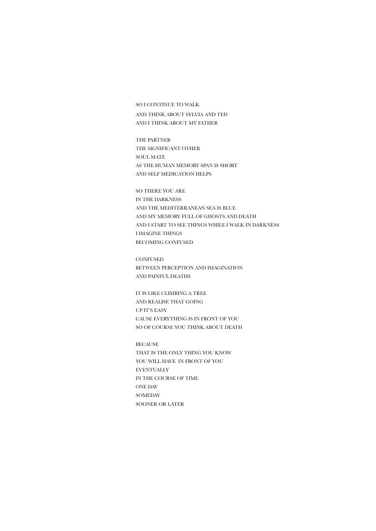#### SO I CONTINUE TO WALK

AND THINK ABOUT SYLVIA AND TED AND I THINK ABOUT MY FATHER

THE PARTNER THE SIGNIFICANT OTHER SOUL MATE AS THE HUMAN MEMORY SPAN IS SHORT AND SELF MEDICATION HELPS

SO THERE YOU ARE IN THE DARKNESS AND THE MEDITERRANEAN SEA IS BLUE AND MY MEMORY FULL OF GHOSTS AND DEATH AND I START TO SEE THINGS WHILE I WALK IN DARKNESS I IMAGINE THINGS BECOMING CONFUSED

**CONFUSED** BETWEEN PERCEPTION AND IMAGINATION AND PAINFUL DEATHS

IT IS LIKE CLIMBING A TREE AND REALISE THAT GOING UP IT'S EASY CAUSE EVERYTHING IS IN FRONT OF YOU SO OF COURSE YOU THINK ABOUT DEATH

BECAUSE THAT IS THE ONLY THING YOU KNOW YOU WILL HAVE IN FRONT OF YOU EVENTUALLY IN THE COURSE OF TIME ONE DAY **SOMEDAY** SOONER OR LATER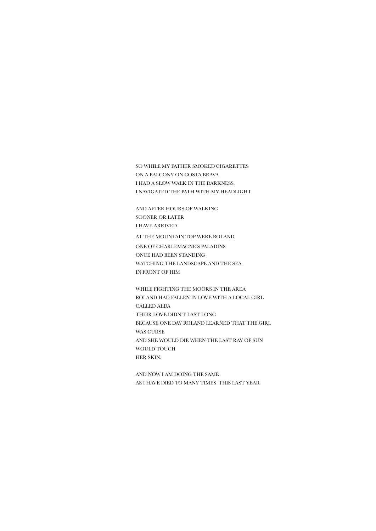SO WHILE MY FATHER SMOKED CIGARETTES ON A BALCONY ON COSTA BRAVA I HAD A SLOW WALK IN THE DARKNESS. I NAVIGATED THE PATH WITH MY HEADLIGHT

AND AFTER HOURS OF WALKING SOONER OR LATER I HAVE ARRIVED

AT THE MOUNTAIN TOP WERE ROLAND, ONE OF CHARLEMAGNE'S PALADINS ONCE HAD BEEN STANDING WATCHING THE LANDSCAPE AND THE SEA IN FRONT OF HIM

WHILE FIGHTING THE MOORS IN THE AREA ROLAND HAD FALLEN IN LOVE WITH A LOCAL GIRL CALLED ALDA THEIR LOVE DIDN'T LAST LONG BECAUSE ONE DAY ROLAND LEARNED THAT THE GIRL WAS CURSE AND SHE WOULD DIE WHEN THE LAST RAY OF SUN WOULD TOUCH HER SKIN.

AND NOW I AM DOING THE SAME AS I HAVE DIED TO MANY TIMES THIS LAST YEAR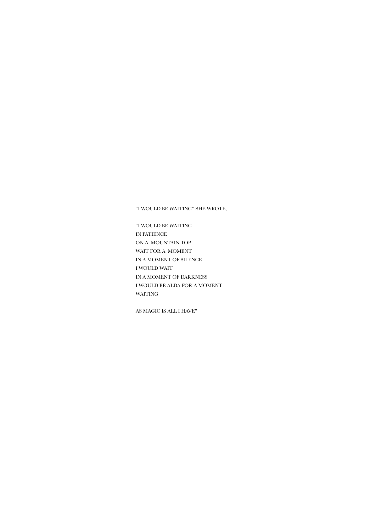"I WOULD BE WAITING" SHE WROTE,

"I WOULD BE WAITING IN PATIENCE ON A MOUNTAIN TOP WAIT FOR A MOMENT IN A MOMENT OF SILENCE I WOULD WAIT IN A MOMENT OF DARKNESS I WOULD BE ALDA FOR A MOMENT WAITING

AS MAGIC IS ALL I HAVE"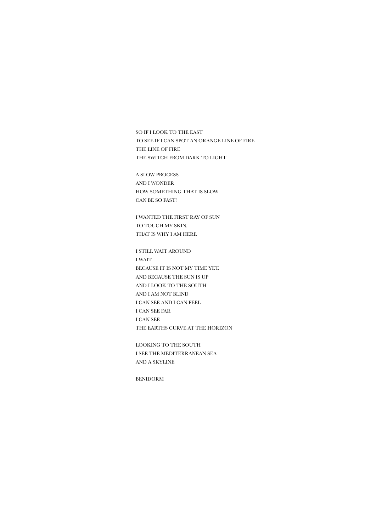SO IF I LOOK TO THE EAST TO SEE IF I CAN SPOT AN ORANGE LINE OF FIRE THE LINE OF FIRE THE SWITCH FROM DARK TO LIGHT

A SLOW PROCESS. AND I WONDER HOW SOMETHING THAT IS SLOW CAN BE SO FAST?

I WANTED THE FIRST RAY OF SUN TO TOUCH MY SKIN. THAT IS WHY I AM HERE

I STILL WAIT AROUND I WAIT BECAUSE IT IS NOT MY TIME YET. AND BECAUSE THE SUN IS UP AND I LOOK TO THE SOUTH AND I AM NOT BLIND I CAN SEE AND I CAN FEEL I CAN SEE FAR I CAN SEE THE EARTHS CURVE AT THE HORIZON

LOOKING TO THE SOUTH I SEE THE MEDITERRANEAN SEA AND A SKYLINE

BENIDORM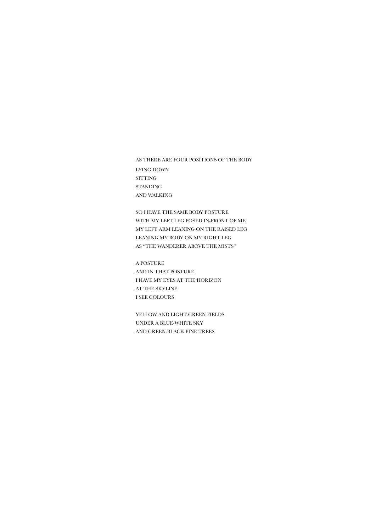AS THERE ARE FOUR POSITIONS OF THE BODY LYING DOWN SITTING STANDING AND WALKING

SO I HAVE THE SAME BODY POSTURE WITH MY LEFT LEG POSED IN-FRONT OF ME MY LEFT ARM LEANING ON THE RAISED LEG LEANING MY BODY ON MY RIGHT LEG AS "THE WANDERER ABOVE THE MISTS"

A POSTURE AND IN THAT POSTURE I HAVE MY EYES AT THE HORIZON AT THE SKYLINE I SEE COLOURS

YELLOW AND LIGHT-GREEN FIELDS UNDER A BLUE-WHITE SKY AND GREEN-BLACK PINE TREES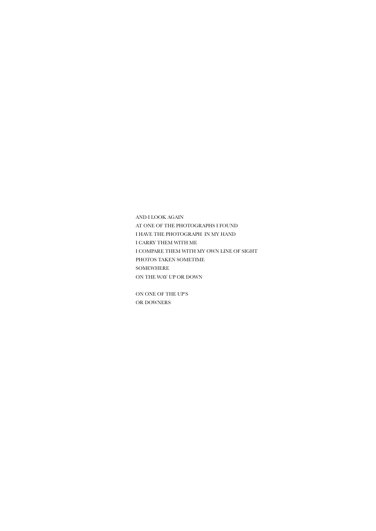AND I LOOK AGAIN AT ONE OF THE PHOTOGRAPHS I FOUND I HAVE THE PHOTOGRAPH IN MY HAND I CARRY THEM WITH ME I COMPARE THEM WITH MY OWN LINE OF SIGHT PHOTOS TAKEN SOMETIME SOMEWHERE ON THE WAY UP OR DOWN

ON ONE OF THE UP'S OR DOWNERS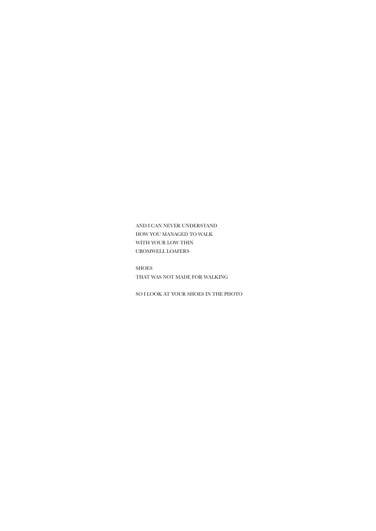AND I CAN NEVER UNDERSTAND HOW YOU MANAGED TO WALK WITH YOUR LOW THIN CROMWELL LOAFERS

SHOES THAT WAS NOT MADE FOR WALKING

SO I LOOK AT YOUR SHOES IN THE PHOTO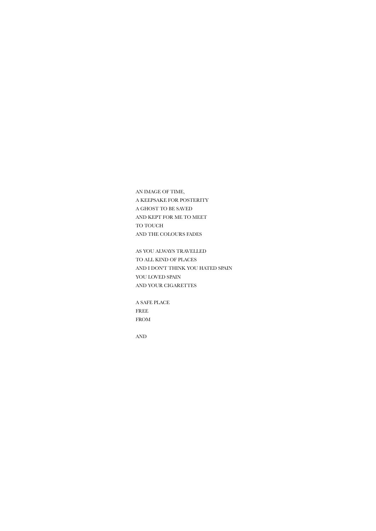AN IMAGE OF TIME, A KEEPSAKE FOR POSTERITY A GHOST TO BE SAVED AND KEPT FOR ME TO MEET TO TOUCH AND THE COLOURS FADES

AS YOU ALWAYS TRAVELLED TO ALL KIND OF PLACES AND I DON'T THINK YOU HATED SPAIN YOU LOVED SPAIN AND YOUR CIGARETTES

A SAFE PLACE FREE FROM

AND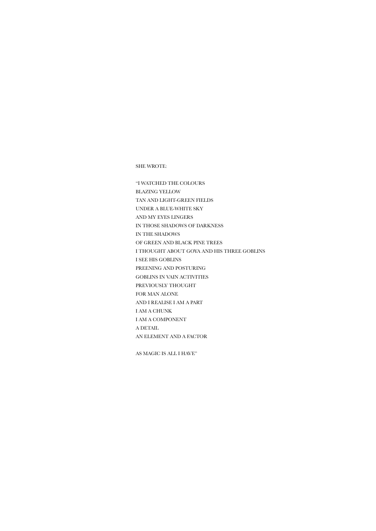SHE WROTE:

"I WATCHED THE COLOURS BLAZING YELLOW TAN AND LIGHT-GREEN FIELDS UNDER A BLUE-WHITE SKY AND MY EYES LINGERS IN THOSE SHADOWS OF DARKNESS IN THE SHADOWS OF GREEN AND BLACK PINE TREES I THOUGHT ABOUT GOYA AND HIS THREE GOBLINS I SEE HIS GOBLINS PREENING AND POSTURING GOBLINS IN VAIN ACTIVITIES PREVIOUSLY THOUGHT FOR MAN ALONE AND I REALISE I AM A PART I AM A CHUNK I AM A COMPONENT A DETAIL AN ELEMENT AND A FACTOR

AS MAGIC IS ALL I HAVE"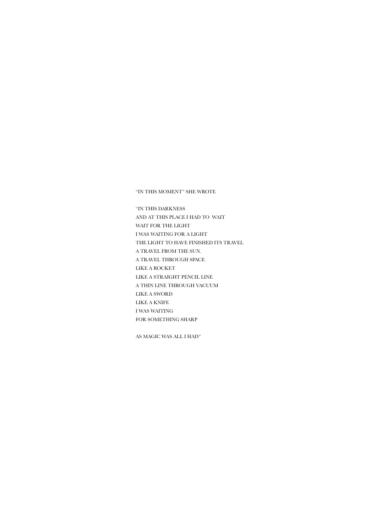## "IN THIS MOMENT" SHE WROTE

"IN THIS DARKNESS AND AT THIS PLACE I HAD TO WAIT WAIT FOR THE LIGHT I WAS WAITING FOR A LIGHT THE LIGHT TO HAVE FINISHED ITS TRAVEL A TRAVEL FROM THE SUN. A TRAVEL THROUGH SPACE LIKE A ROCKET LIKE A STRAIGHT PENCIL LINE A THIN LINE THROUGH VACUUM LIKE A SWORD LIKE A KNIFE I WAS WAITING FOR SOMETHING SHARP

AS MAGIC WAS ALL I HAD"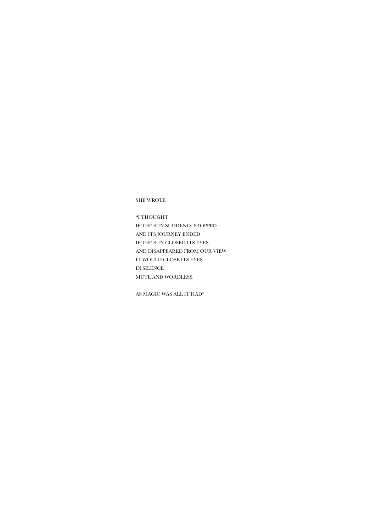AS MAGIC WAS ALL IT HAD"

"I THOUGHT IF THE SUN SUDDENLY STOPPED AND ITS JOURNEY ENDED IF THE SUN CLOSED ITS EYES AND DISAPPEARED FROM OUR VIEW IT WOULD CLOSE ITS EYES IN SILENCE MUTE AND WORDLESS.

SHE WROTE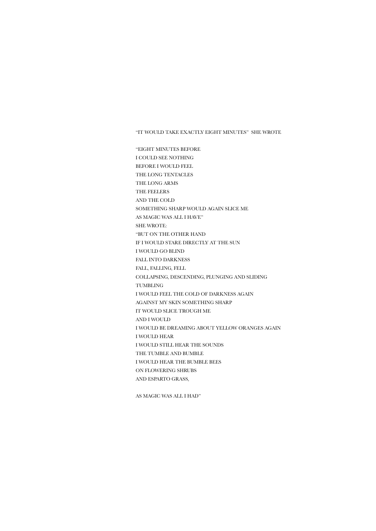"IT WOULD TAKE EXACTLY EIGHT MINUTES" SHE WROTE

"EIGHT MINUTES BEFORE I COULD SEE NOTHING BEFORE I WOULD FEEL THE LONG TENTACLES THE LONG ARMS THE FEELERS AND THE COLD SOMETHING SHARP WOULD AGAIN SLICE ME AS MAGIC WAS ALL I HAVE" SHE WROTE: "BUT ON THE OTHER HAND IF I WOULD STARE DIRECTLY AT THE SUN I WOULD GO BLIND FALL INTO DARKNESS FALL, FALLING, FELL COLLAPSING, DESCENDING, PLUNGING AND SLIDING TUMBLING I WOULD FEEL THE COLD OF DARKNESS AGAIN AGAINST MY SKIN SOMETHING SHARP IT WOULD SLICE TROUGH ME AND I WOULD I WOULD BE DREAMING ABOUT YELLOW ORANGES AGAIN I WOULD HEAR I WOULD STILL HEAR THE SOUNDS THE TUMBLE AND BUMBLE I WOULD HEAR THE BUMBLE BEES ON FLOWERING SHRUBS AND ESPARTO GRASS,

AS MAGIC WAS ALL I HAD"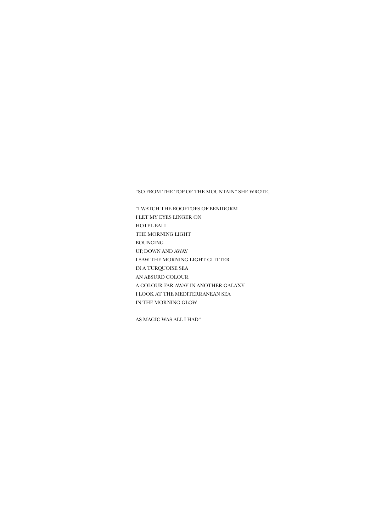"SO FROM THE TOP OF THE MOUNTAIN" SHE WROTE,

"I WATCH THE ROOFTOPS OF BENIDORM I LET MY EYES LINGER ON HOTEL BALI THE MORNING LIGHT BOUNCING UP, DOWN AND AWAY I SAW THE MORNING LIGHT GLITTER IN A TURQUOISE SEA AN ABSURD COLOUR A COLOUR FAR AWAY IN ANOTHER GALAXY I LOOK AT THE MEDITERRANEAN SEA IN THE MORNING GLOW

AS MAGIC WAS ALL I HAD"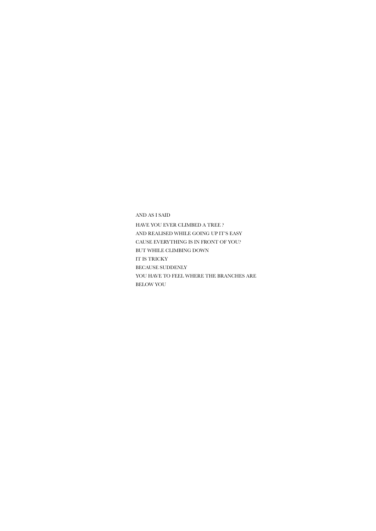AND AS I SAID HAVE YOU EVER CLIMBED A TREE ? AND REALISED WHILE GOING UP IT'S EASY CAUSE EVERYTHING IS IN FRONT OF YOU? BUT WHILE CLIMBING DOWN IT IS TRICKY BECAUSE SUDDENLY YOU HAVE TO FEEL WHERE THE BRANCHES ARE BELOW YOU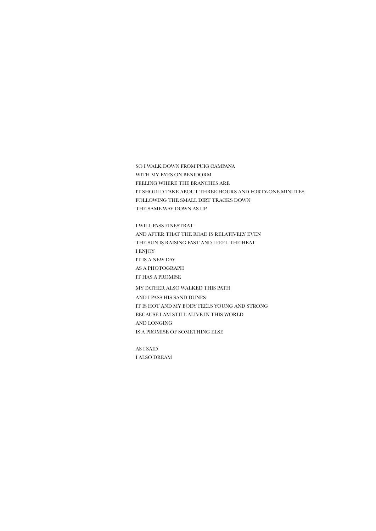SO I WALK DOWN FROM PUIG CAMPANA WITH MY EYES ON BENIDORM FEELING WHERE THE BRANCHES ARE IT SHOULD TAKE ABOUT THREE HOURS AND FORTY-ONE MINUTES FOLLOWING THE SMALL DIRT TRACKS DOWN THE SAME WAY DOWN AS UP

I WILL PASS FINESTRAT AND AFTER THAT THE ROAD IS RELATIVELY EVEN THE SUN IS RAISING FAST AND I FEEL THE HEAT I ENJOY IT IS A NEW DAY AS A PHOTOGRAPH IT HAS A PROMISE

MY FATHER ALSO WALKED THIS PATH

AND I PASS HIS SAND DUNES IT IS HOT AND MY BODY FEELS YOUNG AND STRONG BECAUSE I AM STILL ALIVE IN THIS WORLD AND LONGING IS A PROMISE OF SOMETHING ELSE

AS I SAID I ALSO DREAM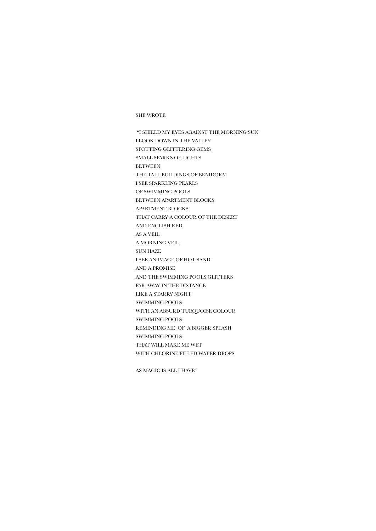#### SHE WROTE

 "I SHIELD MY EYES AGAINST THE MORNING SUN I LOOK DOWN IN THE VALLEY SPOTTING GLITTERING GEMS SMALL SPARKS OF LIGHTS BETWEEN THE TALL BUILDINGS OF BENIDORM I SEE SPARKLING PEARLS OF SWIMMING POOLS BETWEEN APARTMENT BLOCKS APARTMENT BLOCKS THAT CARRY A COLOUR OF THE DESERT AND ENGLISH RED AS A VEIL A MORNING VEIL SUN HAZE I SEE AN IMAGE OF HOT SAND AND A PROMISE AND THE SWIMMING POOLS GLITTERS FAR AWAY IN THE DISTANCE LIKE A STARRY NIGHT SWIMMING POOLS WITH AN ABSURD TURQUOISE COLOUR SWIMMING POOLS REMINDING ME OF A BIGGER SPLASH SWIMMING POOLS THAT WILL MAKE ME WET WITH CHLORINE FILLED WATER DROPS

AS MAGIC IS ALL I HAVE"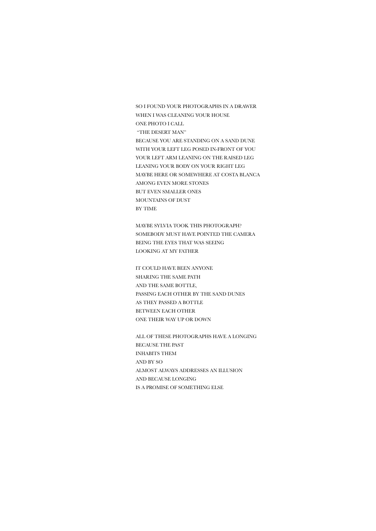SO I FOUND YOUR PHOTOGRAPHS IN A DRAWER WHEN I WAS CLEANING YOUR HOUSE ONE PHOTO I CALL "THE DESERT MAN" BECAUSE YOU ARE STANDING ON A SAND DUNE WITH YOUR LEFT LEG POSED IN-FRONT OF YOU YOUR LEFT ARM LEANING ON THE RAISED LEG LEANING YOUR BODY ON YOUR RIGHT LEG MAYBE HERE OR SOMEWHERE AT COSTA BLANCA AMONG EVEN MORE STONES BUT EVEN SMALLER ONES MOUNTAINS OF DUST BY TIME

MAYBE SYLVIA TOOK THIS PHOTOGRAPH? SOMEBODY MUST HAVE POINTED THE CAMERA BEING THE EYES THAT WAS SEEING LOOKING AT MY FATHER

IT COULD HAVE BEEN ANYONE SHARING THE SAME PATH AND THE SAME BOTTLE, PASSING EACH OTHER BY THE SAND DUNES AS THEY PASSED A BOTTLE BETWEEN EACH OTHER ONE THEIR WAY UP OR DOWN

ALL OF THESE PHOTOGRAPHS HAVE A LONGING BECAUSE THE PAST INHABITS THEM AND BY SO ALMOST ALWAYS ADDRESSES AN ILLUSION AND BECAUSE LONGING IS A PROMISE OF SOMETHING ELSE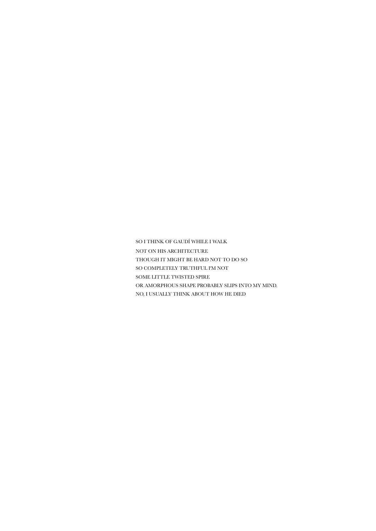SO I THINK OF GAUDÍ WHILE I WALK NOT ON HIS ARCHITECTURE THOUGH IT MIGHT BE HARD NOT TO DO SO SO COMPLETELY TRUTHFUL I'M NOT SOME LITTLE TWISTED SPIRE OR AMORPHOUS SHAPE PROBABLY SLIPS INTO MY MIND. NO, I USUALLY THINK ABOUT HOW HE DIED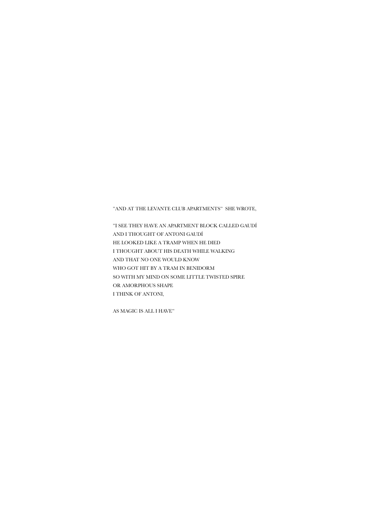"AND AT THE LEVANTE CLUB APARTMENTS" SHE WROTE,

"I SEE THEY HAVE AN APARTMENT BLOCK CALLED GAUDÍ AND I THOUGHT OF ANTONI GAUDÍ HE LOOKED LIKE A TRAMP WHEN HE DIED I THOUGHT ABOUT HIS DEATH WHILE WALKING AND THAT NO ONE WOULD KNOW WHO GOT HIT BY A TRAM IN BENIDORM SO WITH MY MIND ON SOME LITTLE TWISTED SPIRE OR AMORPHOUS SHAPE I THINK OF ANTONI,

AS MAGIC IS ALL I HAVE"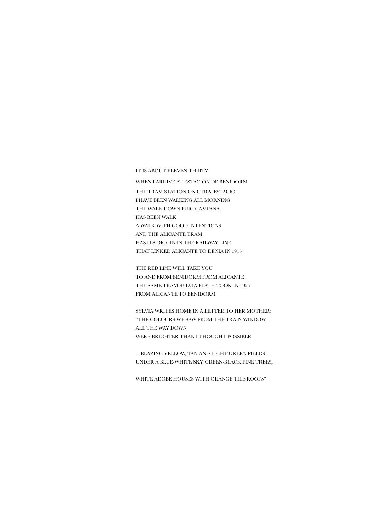IT IS ABOUT ELEVEN THIRTY

WHEN I ARRIVE AT ESTACIÓN DE BENIDORM THE TRAM STATION ON CTRA. ESTACIÓ I HAVE BEEN WALKING ALL MORNING THE WALK DOWN PUIG CAMPANA HAS BEEN WALK A WALK WITH GOOD INTENTIONS AND THE ALICANTE TRAM HAS ITS ORIGIN IN THE RAILWAY LINE THAT LINKED ALICANTE TO DENIA IN 1915

THE RED LINE WILL TAKE YOU TO AND FROM BENIDORM FROM ALICANTE THE SAME TRAM SYLVIA PLATH TOOK IN 1956 FROM ALICANTE TO BENIDORM

SYLVIA WRITES HOME IN A LETTER TO HER MOTHER: "THE COLOURS WE SAW FROM THE TRAIN WINDOW ALL THE WAY DOWN WERE BRIGHTER THAN I THOUGHT POSSIBLE

... BLAZING YELLOW, TAN AND LIGHT-GREEN FIELDS UNDER A BLUE-WHITE SKY, GREEN-BLACK PINE TREES,

WHITE ADOBE HOUSES WITH ORANGE TILE ROOFS"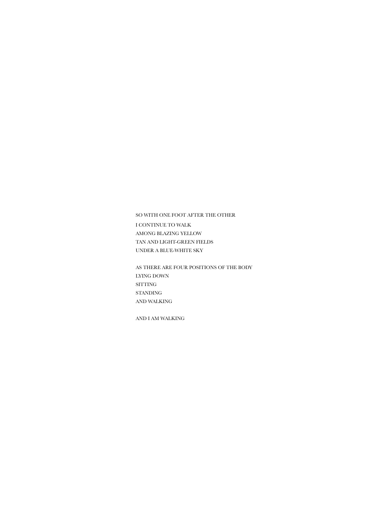# SO WITH ONE FOOT AFTER THE OTHER I CONTINUE TO WALK AMONG BLAZING YELLOW TAN AND LIGHT-GREEN FIELDS UNDER A BLUE-WHITE SKY

AS THERE ARE FOUR POSITIONS OF THE BODY LYING DOWN SITTING STANDING AND WALKING

AND I AM WALKING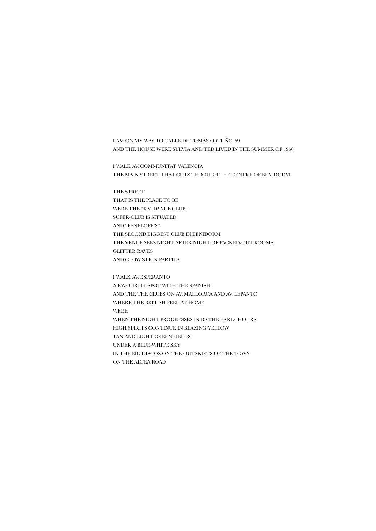I AM ON MY WAY TO CALLE DE TOMÁS ORTUÑO, 59 AND THE HOUSE WERE SYLVIA AND TED LIVED IN THE SUMMER OF 1956

I WALK AV. COMMUNITAT VALENCIA THE MAIN STREET THAT CUTS THROUGH THE CENTRE OF BENIDORM

THE STREET THAT IS THE PLACE TO BE, WERE THE "KM DANCE CLUB" SUPER-CLUB IS SITUATED AND "PENELOPE'S" THE SECOND BIGGEST CLUB IN BENIDORM THE VENUE SEES NIGHT AFTER NIGHT OF PACKED-OUT ROOMS GLITTER RAVES AND GLOW STICK PARTIES

I WALK AV. ESPERANTO A FAVOURITE SPOT WITH THE SPANISH AND THE THE CLUBS ON AV. MALLORCA AND AV. LEPANTO WHERE THE BRITISH FEEL AT HOME WERE WHEN THE NIGHT PROGRESSES INTO THE EARLY HOURS HIGH SPIRITS CONTINUE IN BLAZING YELLOW TAN AND LIGHT-GREEN FIELDS UNDER A BLUE-WHITE SKY IN THE BIG DISCOS ON THE OUTSKIRTS OF THE TOWN ON THE ALTEA ROAD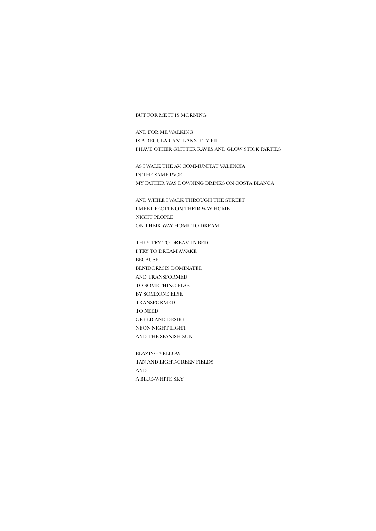#### BUT FOR ME IT IS MORNING

AND FOR ME WALKING IS A REGULAR ANTI-ANXIETY PILL I HAVE OTHER GLITTER RAVES AND GLOW STICK PARTIES

AS I WALK THE AV. COMMUNITAT VALENCIA IN THE SAME PACE MY FATHER WAS DOWNING DRINKS ON COSTA BLANCA

AND WHILE I WALK THROUGH THE STREET I MEET PEOPLE ON THEIR WAY HOME NIGHT PEOPLE ON THEIR WAY HOME TO DREAM

THEY TRY TO DREAM IN BED I TRY TO DREAM AWAKE BECAUSE BENIDORM IS DOMINATED AND TRANSFORMED TO SOMETHING ELSE BY SOMEONE ELSE TRANSFORMED TO NEED GREED AND DESIRE NEON NIGHT LIGHT AND THE SPANISH SUN

BLAZING YELLOW TAN AND LIGHT-GREEN FIELDS AND A BLUE-WHITE SKY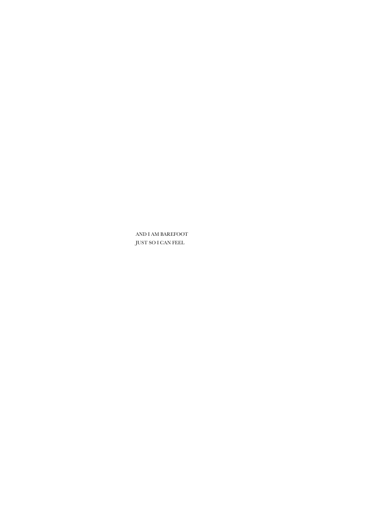AND I AM BAREFOOT JUST SO I CAN FEEL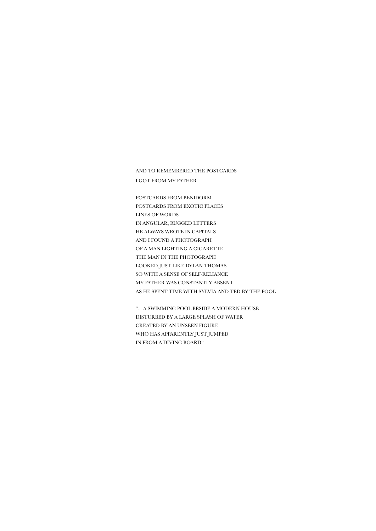AND TO REMEMBERED THE POSTCARDS I GOT FROM MY FATHER

POSTCARDS FROM BENIDORM POSTCARDS FROM EXOTIC PLACES LINES OF WORDS IN ANGULAR, RUGGED LETTERS HE ALWAYS WROTE IN CAPITALS AND I FOUND A PHOTOGRAPH OF A MAN LIGHTING A CIGARETTE THE MAN IN THE PHOTOGRAPH LOOKED JUST LIKE DYLAN THOMAS SO WITH A SENSE OF SELF-RELIANCE MY FATHER WAS CONSTANTLY ABSENT AS HE SPENT TIME WITH SYLVIA AND TED BY THE POOL

"... A SWIMMING POOL BESIDE A MODERN HOUSE DISTURBED BY A LARGE SPLASH OF WATER CREATED BY AN UNSEEN FIGURE WHO HAS APPARENTLY JUST JUMPED IN FROM A DIVING BOARD"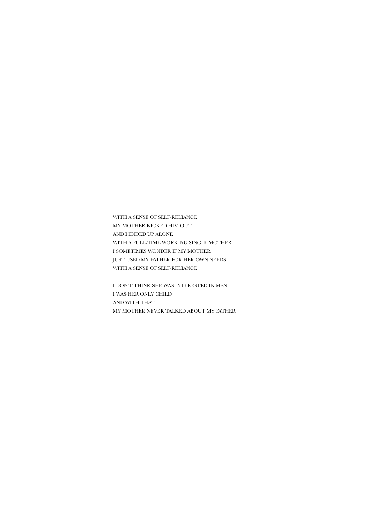WITH A SENSE OF SELF-RELIANCE MY MOTHER KICKED HIM OUT AND I ENDED UP ALONE WITH A FULL-TIME WORKING SINGLE MOTHER I SOMETIMES WONDER IF MY MOTHER JUST USED MY FATHER FOR HER OWN NEEDS WITH A SENSE OF SELF-RELIANCE

I DON'T THINK SHE WAS INTERESTED IN MEN I WAS HER ONLY CHILD AND WITH THAT MY MOTHER NEVER TALKED ABOUT MY FATHER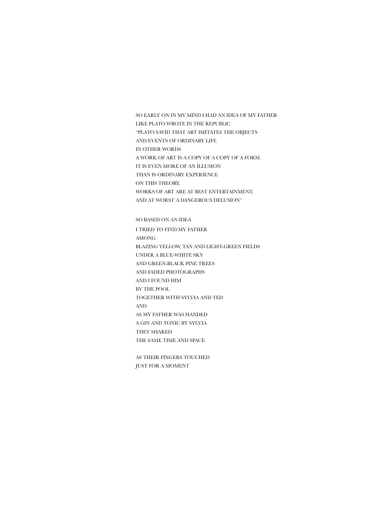SO EARLY ON IN MY MIND I HAD AN IDEA OF MY FATHER LIKE PLATO WROTE IN THE REPUBLIC "PLATO SAYID THAT ART IMITATES THE OBJECTS AND EVENTS OF ORDINARY LIFE IN OTHER WORDS A WORK OF ART IS A COPY OF A COPY OF A FORM. IT IS EVEN MORE OF AN ILLUSION THAN IS ORDINARY EXPERIENCE ON THIS THEORY, WORKS OF ART ARE AT BEST ENTERTAINMENT, AND AT WORST A DANGEROUS DELUSION"

SO BASED ON AN IDEA I TRIED TO FIND MY FATHER AMONG BLAZING YELLOW, TAN AND LIGHT-GREEN FIELDS UNDER A BLUE-WHITE SKY AND GREEN-BLACK PINE TREES AND FADED PHOTOGRAPHS AND I FOUND HIM BY THE POOL TOGETHER WITH SYLVIA AND TED AND AS MY FATHER WAS HANDED A GIN AND TONIC BY SYLVIA THEY SHARED THE SAME TIME AND SPACE

AS THEIR FINGERS TOUCHED JUST FOR A MOMENT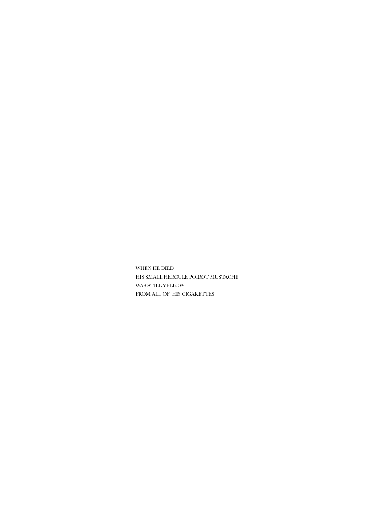WHEN HE DIED HIS SMALL [HERCULE POIROT MUSTACHE](https://www.google.se/search?client=safari&hl=sv-se&q=Hercule+Poirot+mustache&spell=1&sa=X&ved=2ahUKEwjt9PSF1uj1AhVwRfEDHcCdD4gQkeECKAB6BAgBEDw)  WAS STILL YELLOW FROM ALL OF HIS CIGARETTES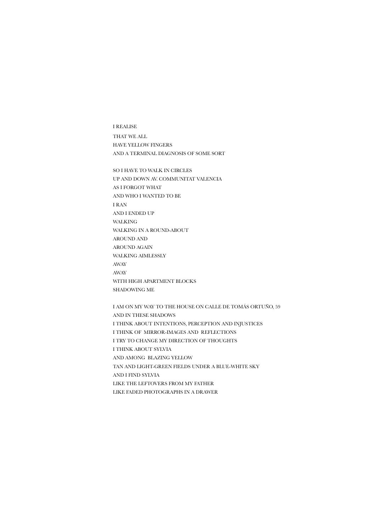I REALISE THAT WE ALL HAVE YELLOW FINGERS AND A TERMINAL DIAGNOSIS OF SOME SORT

SO I HAVE TO WALK IN CIRCLES UP AND DOWN AV. COMMUNITAT VALENCIA AS I FORGOT WHAT AND WHO I WANTED TO BE I RAN AND I ENDED UP WALKING WALKING IN A ROUND-ABOUT AROUND AND AROUND AGAIN WALKING AIMLESSLY AWAY AWAY WITH HIGH APARTMENT BLOCKS SHADOWING ME

I AM ON MY WAY TO THE HOUSE ON CALLE DE TOMÁS ORTUÑO, 59 AND IN THESE SHADOWS I THINK ABOUT INTENTIONS, PERCEPTION AND INJUSTICES I THINK OF MIRROR-IMAGES AND REFLECTIONS I TRY TO CHANGE MY DIRECTION OF THOUGHTS I THINK ABOUT SYLVIA AND AMONG BLAZING YELLOW TAN AND LIGHT-GREEN FIELDS UNDER A BLUE-WHITE SKY AND I FIND SYLVIA LIKE THE LEFTOVERS FROM MY FATHER LIKE FADED PHOTOGRAPHS IN A DRAWER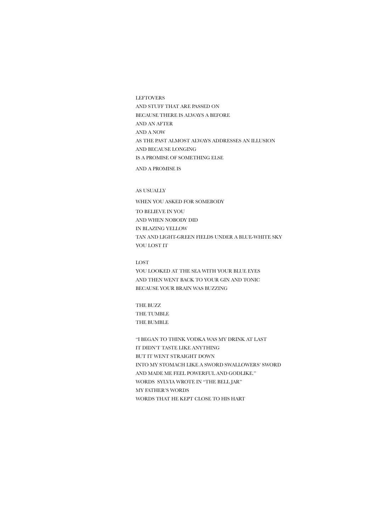LEFTOVERS AND STUFF THAT ARE PASSED ON BECAUSE THERE IS ALWAYS A BEFORE AND AN AFTER AND A NOW AS THE PAST ALMOST ALWAYS ADDRESSES AN ILLUSION AND BECAUSE LONGING IS A PROMISE OF SOMETHING ELSE AND A PROMISE IS

## AS USUALLY

WHEN YOU ASKED FOR SOMEBODY TO BELIEVE IN YOU AND WHEN NOBODY DID IN BLAZING YELLOW TAN AND LIGHT-GREEN FIELDS UNDER A BLUE-WHITE SKY YOU LOST IT

LOST YOU LOOKED AT THE SEA WITH YOUR BLUE EYES AND THEN WENT BACK TO YOUR GIN AND TONIC BECAUSE YOUR BRAIN WAS BUZZING

THE BUZZ THE TUMBLE THE BUMBLE

"I BEGAN TO THINK VODKA WAS MY DRINK AT LAST IT DIDN'T TASTE LIKE ANYTHING BUT IT WENT STRAIGHT DOWN INTO MY STOMACH LIKE A SWORD SWALLOWERS' SWORD AND MADE ME FEEL POWERFUL AND GODLIKE." WORDS SYLVIA WROTE IN "THE BELL JAR" MY FATHER'S WORDS WORDS THAT HE KEPT CLOSE TO HIS HART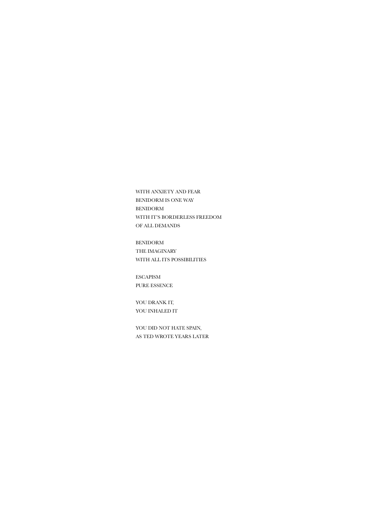WITH ANXIETY AND FEAR BENIDORM IS ONE WAY BENIDORM WITH IT'S BORDERLESS FREEDOM OF ALL DEMANDS

BENIDORM THE IMAGINARY WITH ALL ITS POSSIBILITIES

ESCAPISM PURE ESSENCE

YOU DRANK IT, YOU INHALED IT

YOU DID NOT HATE SPAIN, AS TED WROTE YEARS LATER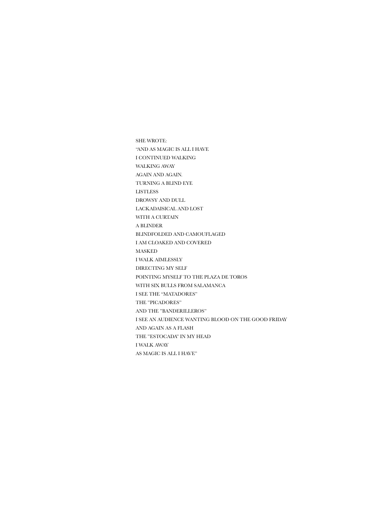SHE WROTE: "AND AS MAGIC IS ALL I HAVE I CONTINUED WALKING WALKING AWAY AGAIN AND AGAIN. TURNING A BLIND EYE LISTLESS DROWSY AND DULL LACKADAISICAL AND LOST WITH A CURTAIN A BLINDER BLINDFOLDED AND CAMOUFLAGED I AM CLOAKED AND COVERED MASKED I WALK AIMLESSLY DIRECTING MY SELF POINTING MYSELF TO THE PLAZA DE TOROS WITH SIX BULLS FROM SALAMANCA I SEE THE "MATADORES" THE "PICADORES" AND THE "BANDERILLEROS" I SEE AN AUDIENCE WANTING BLOOD ON THE GOOD FRIDAY AND AGAIN AS A FLASH THE "ESTOCADA" IN MY HEAD I WALK AWAY AS MAGIC IS ALL I HAVE"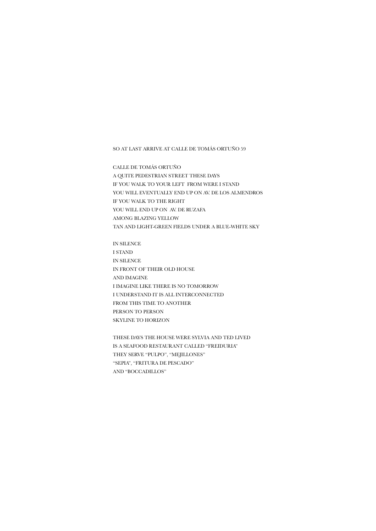SO AT LAST ARRIVE AT CALLE DE TOMÁS ORTUÑO 59

CALLE DE TOMÁS ORTUÑO A QUITE PEDESTRIAN STREET THESE DAYS IF YOU WALK TO YOUR LEFT FROM WERE I STAND YOU WILL EVENTUALLY END UP ON AV. DE LOS ALMENDROS IF YOU WALK TO THE RIGHT YOU WILL END UP ON AV. DE RUZAFA AMONG BLAZING YELLOW TAN AND LIGHT-GREEN FIELDS UNDER A BLUE-WHITE SKY

IN SILENCE I STAND IN SILENCE IN FRONT OF THEIR OLD HOUSE AND IMAGINE I IMAGINE LIKE THERE IS NO TOMORROW I UNDERSTAND IT IS ALL INTERCONNECTED FROM THIS TIME TO ANOTHER PERSON TO PERSON SKYLINE TO HORIZON

THESE DAYS THE HOUSE WERE SYLVIA AND TED LIVED IS A SEAFOOD RESTAURANT CALLED "FREIDURIA" THEY SERVE "PULPO", "MEJILLONES" "SEPIA", "FRITURA DE PESCADO" AND "BOCCADILLOS"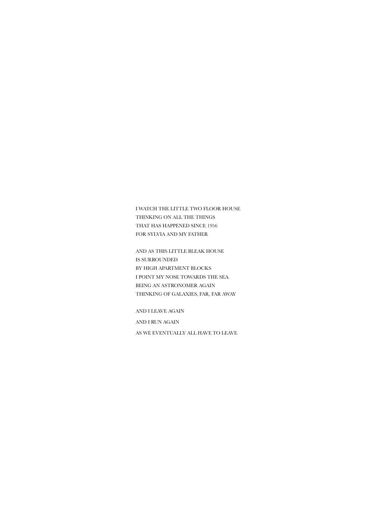I WATCH THE LITTLE TWO FLOOR HOUSE THINKING ON ALL THE THINGS THAT HAS HAPPENED SINCE 1956 FOR SYLVIA AND MY FATHER

AND AS THIS LITTLE BLEAK HOUSE IS SURROUNDED BY HIGH APARTMENT BLOCKS I POINT MY NOSE TOWARDS THE SEA. BEING AN ASTRONOMER AGAIN THINKING OF GALAXIES, FAR, FAR AWAY

AND I LEAVE AGAIN

AND I RUN AGAIN

AS WE EVENTUALLY ALL HAVE TO LEAVE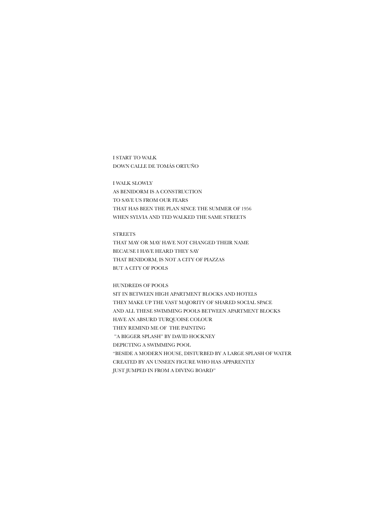# I START TO WALK DOWN CALLE DE TOMÁS ORTUÑO

I WALK SLOWLY AS BENIDORM IS A CONSTRUCTION TO SAVE US FROM OUR FEARS THAT HAS BEEN THE PLAN SINCE THE SUMMER OF 1956 WHEN SYLVIA AND TED WALKED THE SAME STREETS

# **STREETS**

THAT MAY OR MAY HAVE NOT CHANGED THEIR NAME BECAUSE I HAVE HEARD THEY SAY THAT BENIDORM, IS NOT A CITY OF PIAZZAS BUT A CITY OF POOLS

## HUNDREDS OF POOLS

SIT IN BETWEEN HIGH APARTMENT BLOCKS AND HOTELS THEY MAKE UP THE VAST MAJORITY OF SHARED SOCIAL SPACE AND ALL THESE SWIMMING POOLS BETWEEN APARTMENT BLOCKS HAVE AN ABSURD TURQUOISE COLOUR THEY REMIND ME OF THE PAINTING "A BIGGER SPLASH" BY DAVID HOCKNEY DEPICTING A SWIMMING POOL "BESIDE A MODERN HOUSE, DISTURBED BY A LARGE SPLASH OF WATER CREATED BY AN UNSEEN FIGURE WHO HAS APPARENTLY JUST JUMPED IN FROM A DIVING BOARD"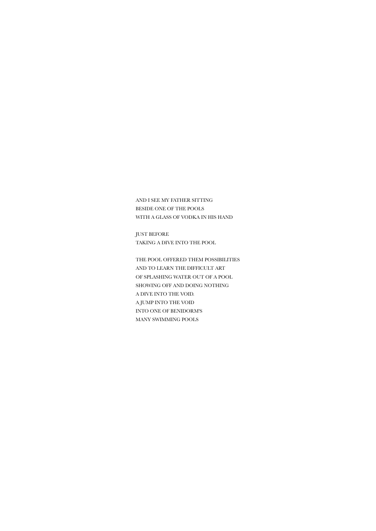AND I SEE MY FATHER SITTING BESIDE ONE OF THE POOLS WITH A GLASS OF VODKA IN HIS HAND

JUST BEFORE TAKING A DIVE INTO THE POOL

THE POOL OFFERED THEM POSSIBILITIES AND TO LEARN THE DIFFICULT ART OF SPLASHING WATER OUT OF A POOL SHOWING OFF AND DOING NOTHING A DIVE INTO THE VOID. A JUMP INTO THE VOID INTO ONE OF BENIDORM'S MANY SWIMMING POOLS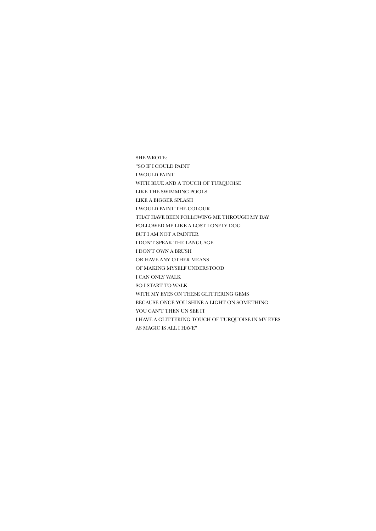SHE WROTE: "SO IF I COULD PAINT I WOULD PAINT WITH BLUE AND A TOUCH OF TURQUOISE LIKE THE SWIMMING POOLS LIKE A BIGGER SPLASH I WOULD PAINT THE COLOUR THAT HAVE BEEN FOLLOWING ME THROUGH MY DAY. FOLLOWED ME LIKE A LOST LONELY DOG BUT I AM NOT A PAINTER I DON'T SPEAK THE LANGUAGE I DON'T OWN A BRUSH OR HAVE ANY OTHER MEANS OF MAKING MYSELF UNDERSTOOD I CAN ONLY WALK SO I START TO WALK WITH MY EYES ON THESE GLITTERING GEMS BECAUSE ONCE YOU SHINE A LIGHT ON SOMETHING YOU CAN'T THEN UN SEE IT I HAVE A GLITTERING TOUCH OF TURQUOISE IN MY EYES AS MAGIC IS ALL I HAVE"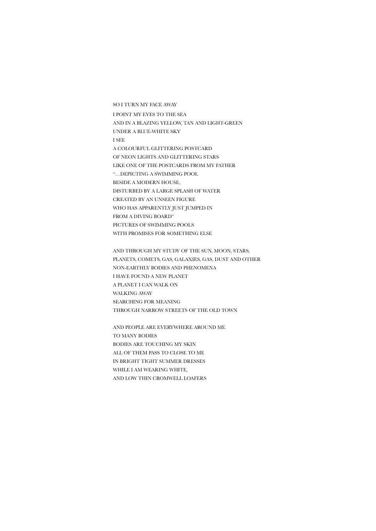SO I TURN MY FACE AWAY I POINT MY EYES TO THE SEA AND IN A BLAZING YELLOW, TAN AND LIGHT-GREEN UNDER A BLUE-WHITE SKY I SEE A COLOURFUL GLITTERING POSTCARD OF NEON LIGHTS AND GLITTERING STARS LIKE ONE OF THE POSTCARDS FROM MY FATHER "…DEPICTING A SWIMMING POOL BESIDE A MODERN HOUSE, DISTURBED BY A LARGE SPLASH OF WATER CREATED BY AN UNSEEN FIGURE WHO HAS APPARENTLY JUST JUMPED IN FROM A DIVING BOARD" PICTURES OF SWIMMING POOLS WITH PROMISES FOR SOMETHING ELSE

AND THROUGH MY STUDY OF THE SUN, MOON, STARS, PLANETS, COMETS, GAS, GALAXIES, GAS, DUST AND OTHER NON-EARTHLY BODIES AND PHENOMENA I HAVE FOUND A NEW PLANET A PLANET I CAN WALK ON WALKING AWAY SEARCHING FOR MEANING THROUGH NARROW STREETS OF THE OLD TOWN

AND PEOPLE ARE EVERYWHERE AROUND ME TO MANY BODIES BODIES ARE TOUCHING MY SKIN ALL OF THEM PASS TO CLOSE TO ME IN BRIGHT TIGHT SUMMER DRESSES WHILE I AM WEARING WHITE, AND LOW THIN CROMWELL LOAFERS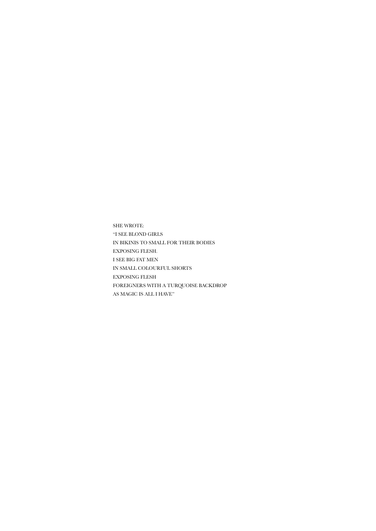SHE WROTE: "I SEE BLOND GIRLS IN BIKINIS TO SMALL FOR THEIR BODIES EXPOSING FLESH. I SEE BIG FAT MEN IN SMALL COLOURFUL SHORTS EXPOSING FLESH FOREIGNERS WITH A TURQUOISE BACKDROP AS MAGIC IS ALL I HAVE"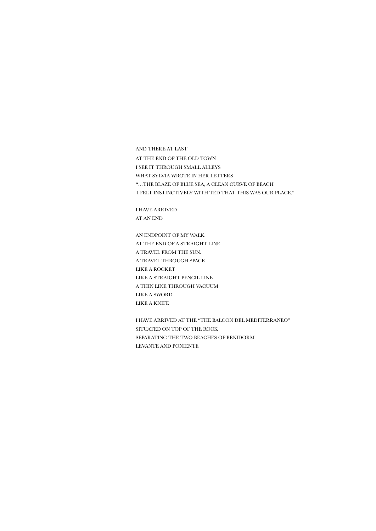AND THERE AT LAST

AT THE END OF THE OLD TOWN

I SEE IT THROUGH SMALL ALLEYS

WHAT SYLVIA WROTE IN HER LETTERS

"…THE BLAZE OF BLUE SEA, A CLEAN CURVE OF BEACH

I FELT INSTINCTIVELY WITH TED THAT THIS WAS OUR PLACE."

I HAVE ARRIVED AT AN END

AN ENDPOINT OF MY WALK AT THE END OF A STRAIGHT LINE A TRAVEL FROM THE SUN. A TRAVEL THROUGH SPACE LIKE A ROCKET LIKE A STRAIGHT PENCIL LINE A THIN LINE THROUGH VACUUM LIKE A SWORD LIKE A KNIFE

I HAVE ARRIVED AT THE "THE BALCON DEL MEDITERRANEO" SITUATED ON TOP OF THE ROCK SEPARATING THE TWO BEACHES OF BENIDORM LEVANTE AND PONIENTE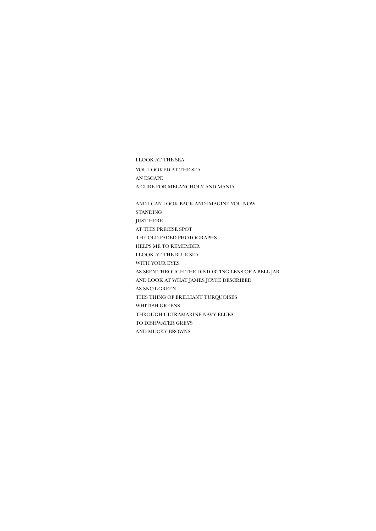I LOOK AT THE SEA YOU LOOKED AT THE SEA AN ESCAPE A CURE FOR MELANCHOLY AND MANIA.

AND I CAN LOOK BACK AND IMAGINE YOU NOW STANDING JUST HERE AT THIS PRECISE SPOT THE OLD FADED PHOTOGRAPHS HELPS ME TO REMEMBER I LOOK AT THE BLUE SEA WITH YOUR EYES AS SEEN THROUGH THE DISTORTING LENS OF A BELL JAR AND LOOK AT WHAT JAMES JOYCE DESCRIBED AS SNOT-GREEN THIS THING OF BRILLIANT TURQUOISES WHITISH GREENS THROUGH ULTRAMARINE NAVY BLUES TO DISHWATER GREYS AND MUCKY BROWNS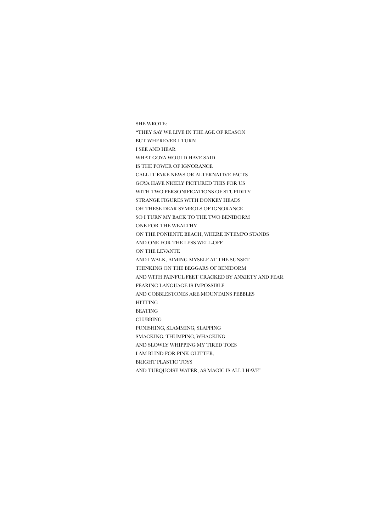SHE WROTE: "THEY SAY WE LIVE IN THE AGE OF REASON BUT WHEREVER I TURN I SEE AND HEAR WHAT GOYA WOULD HAVE SAID IS THE POWER OF IGNORANCE CALL IT FAKE NEWS OR ALTERNATIVE FACTS GOYA HAVE NICELY PICTURED THIS FOR US WITH TWO PERSONIFICATIONS OF STUPIDITY STRANGE FIGURES WITH DONKEY HEADS OH THESE DEAR SYMBOLS OF IGNORANCE SO I TURN MY BACK TO THE TWO BENIDORM ONE FOR THE WEALTHY ON THE PONIENTE BEACH, WHERE INTEMPO STANDS AND ONE FOR THE LESS WELL-OFF ON THE LEVANTE AND I WALK, AIMING MYSELF AT THE SUNSET THINKING ON THE BEGGARS OF BENIDORM AND WITH PAINFUL FEET CRACKED BY ANXIETY AND FEAR FEARING LANGUAGE IS IMPOSSIBLE AND COBBLESTONES ARE MOUNTAINS PEBBLES HITTING BEATING CLUBBING PUNISHING, SLAMMING, SLAPPING SMACKING, THUMPING, WHACKING AND SLOWLY WHIPPING MY TIRED TOES I AM BLIND FOR PINK GLITTER, BRIGHT PLASTIC TOYS AND TURQUOISE WATER, AS MAGIC IS ALL I HAVE"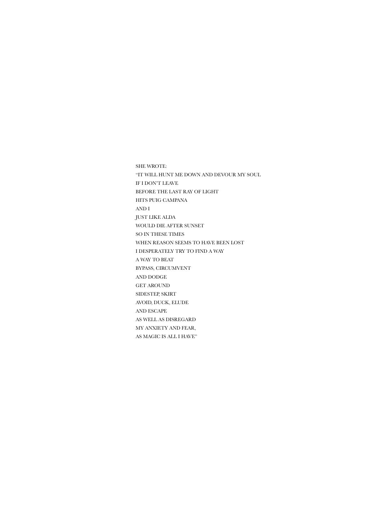SHE WROTE: "IT WILL HUNT ME DOWN AND DEVOUR MY SOUL IF I DON'T LEAVE BEFORE THE LAST RAY OF LIGHT HITS PUIG CAMPANA AND I JUST LIKE ALDA WOULD DIE AFTER SUNSET SO IN THESE TIMES WHEN REASON SEEMS TO HAVE BEEN LOST I DESPERATELY TRY TO FIND A WAY A WAY TO BEAT BYPASS, CIRCUMVENT AND DODGE GET AROUND SIDESTEP, SKIRT AVOID, DUCK, ELUDE AND ESCAPE AS WELL AS DISREGARD MY ANXIETY AND FEAR, AS MAGIC IS ALL I HAVE"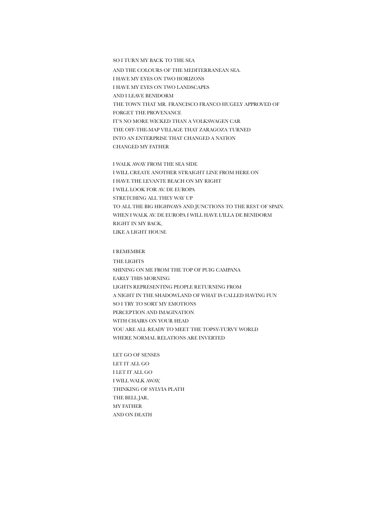SO I TURN MY BACK TO THE SEA AND THE COLOURS OF THE MEDITERRANEAN SEA. I HAVE MY EYES ON TWO HORIZONS I HAVE MY EYES ON TWO LANDSCAPES AND I LEAVE BENIDORM THE TOWN THAT MR. FRANCISCO FRANCO HUGELY APPROVED OF FORGET THE PROVENANCE IT'S NO MORE WICKED THAN A VOLKSWAGEN CAR THE OFF-THE-MAP VILLAGE THAT ZARAGOZA TURNED INTO AN ENTERPRISE THAT CHANGED A NATION CHANGED MY FATHER

I WALK AWAY FROM THE SEA SIDE I WILL CREATE ANOTHER STRAIGHT LINE FROM HERE ON I HAVE THE LEVANTE BEACH ON MY RIGHT I WILL LOOK FOR AV. DE EUROPA STRETCHING ALL THEY WAY UP TO ALL THE BIG HIGHWAYS AND JUNCTIONS TO THE REST OF SPAIN. WHEN I WALK AV. DE EUROPA I WILL HAVE L'ILLA DE BENIDORM RIGHT IN MY BACK, LIKE A LIGHT HOUSE

I REMEMBER

THE LIGHTS SHINING ON ME FROM THE TOP OF PUIG CAMPANA EARLY THIS MORNING LIGHTS REPRESENTING PEOPLE RETURNING FROM A NIGHT IN THE SHADOWLAND OF WHAT IS CALLED HAVING FUN SO I TRY TO SORT MY EMOTIONS PERCEPTION AND IMAGINATION WITH CHAIRS ON YOUR HEAD YOU ARE ALL READY TO MEET THE TOPSY-TURVY WORLD WHERE NORMAL RELATIONS ARE INVERTED

LET GO OF SENSES LET IT ALL GO I LET IT ALL GO I WILL WALK AWAY, THINKING OF SYLVIA PLATH THE BELL JAR, MY FATHER AND ON DEATH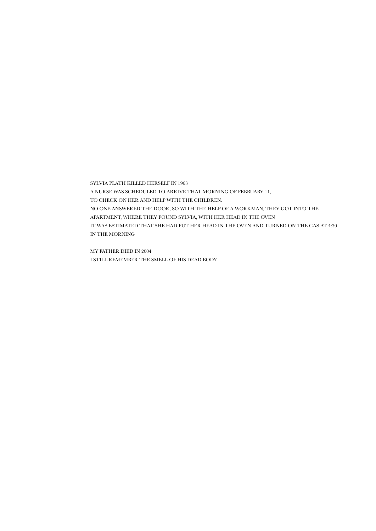SYLVIA PLATH KILLED HERSELF IN 1963 A NURSE WAS SCHEDULED TO ARRIVE THAT MORNING OF FEBRUARY 11, TO CHECK ON HER AND HELP WITH THE CHILDREN. NO ONE ANSWERED THE DOOR, SO WITH THE HELP OF A WORKMAN, THEY GOT INTO THE APARTMENT, WHERE THEY FOUND SYLVIA, WITH HER HEAD IN THE OVEN IT WAS ESTIMATED THAT SHE HAD PUT HER HEAD IN THE OVEN AND TURNED ON THE GAS AT 4:30 IN THE MORNING

MY FATHER DIED IN 2004 I STILL REMEMBER THE SMELL OF HIS DEAD BODY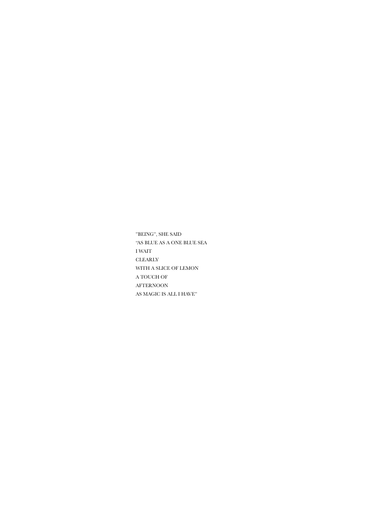"BEING", SHE SAID "AS BLUE AS A ONE BLUE SEA I WAIT CLEARLY WITH A SLICE OF LEMON A TOUCH OF AFTERNOON AS MAGIC IS ALL I HAVE"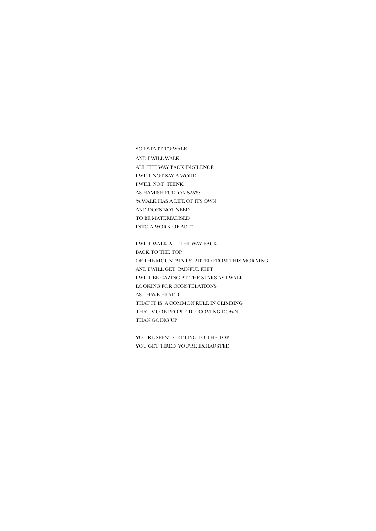SO I START TO WALK AND I WILL WALK ALL THE WAY BACK IN SILENCE I WILL NOT SAY A WORD I WILL NOT THINK AS HAMISH FULTON SAYS: "A WALK HAS A LIFE OF ITS OWN AND DOES NOT NEED TO BE MATERIALISED INTO A WORK OF ART"

I WILL WALK ALL THE WAY BACK BACK TO THE TOP OF THE MOUNTAIN I STARTED FROM THIS MORNING AND I WILL GET PAINFUL FEET I WILL BE GAZING AT THE STARS AS I WALK LOOKING FOR CONSTELATIONS AS I HAVE HEARD THAT IT IS A COMMON RULE IN CLIMBING THAT MORE PEOPLE DIE COMING DOWN THAN GOING UP

YOU'RE SPENT GETTING TO THE TOP YOU GET TIRED, YOU'RE EXHAUSTED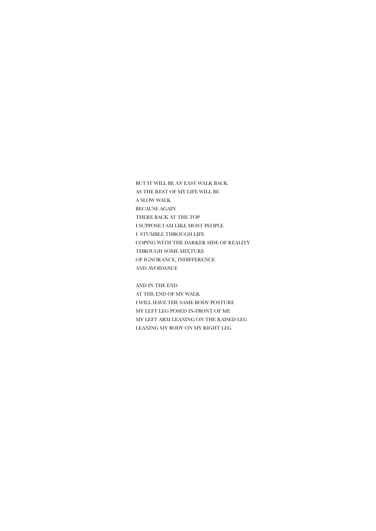BUT IT WILL BE AN EASY WALK BACK AS THE REST OF MY LIFE WILL BE A SLOW WALK BECAUSE AGAIN THERE BACK AT THE TOP I SUPPOSE I AM LIKE MOST PEOPLE I STUMBLE THROUGH LIFE COPING WITH THE DARKER SIDE OF REALITY THROUGH SOME MIXTURE OF IGNORANCE, INDIFFERENCE AND AVOIDANCE

AND IN THE END AT THE END OF MY WALK I WILL HAVE THE SAME BODY POSTURE MY LEFT LEG POSED IN-FRONT OF ME MY LEFT ARM LEANING ON THE RAISED LEG LEANING MY BODY ON MY RIGHT LEG